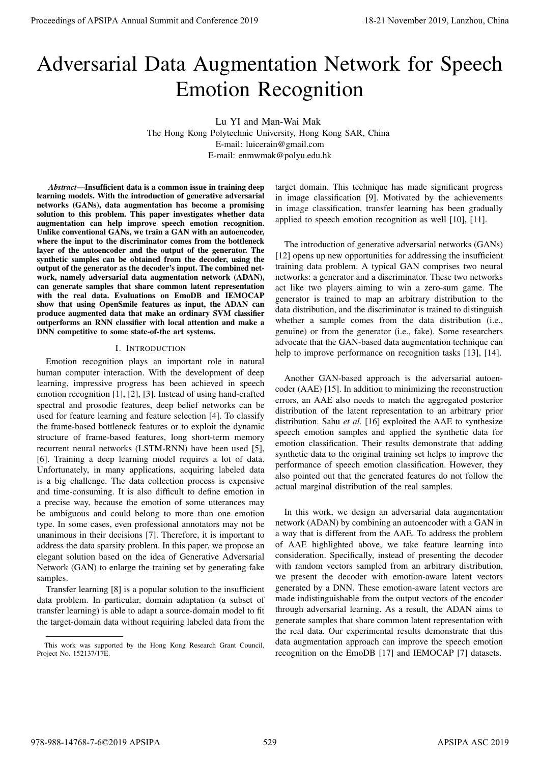# Adversarial Data Augmentation Network for Speech Emotion Recognition

Lu YI and Man-Wai Mak The Hong Kong Polytechnic University, Hong Kong SAR, China E-mail: luicerain@gmail.com E-mail: enmwmak@polyu.edu.hk

*Abstract*—Insufficient data is a common issue in training deep learning models. With the introduction of generative adversarial networks (GANs), data augmentation has become a promising solution to this problem. This paper investigates whether data augmentation can help improve speech emotion recognition. Unlike conventional GANs, we train a GAN with an autoencoder, where the input to the discriminator comes from the bottleneck layer of the autoencoder and the output of the generator. The synthetic samples can be obtained from the decoder, using the output of the generator as the decoder's input. The combined network, namely adversarial data augmentation network (ADAN), can generate samples that share common latent representation with the real data. Evaluations on EmoDB and IEMOCAP show that using OpenSmile features as input, the ADAN can produce augmented data that make an ordinary SVM classifier outperforms an RNN classifier with local attention and make a DNN competitive to some state-of-the art systems.

# I. INTRODUCTION

Emotion recognition plays an important role in natural human computer interaction. With the development of deep learning, impressive progress has been achieved in speech emotion recognition [1], [2], [3]. Instead of using hand-crafted spectral and prosodic features, deep belief networks can be used for feature learning and feature selection [4]. To classify the frame-based bottleneck features or to exploit the dynamic structure of frame-based features, long short-term memory recurrent neural networks (LSTM-RNN) have been used [5], [6]. Training a deep learning model requires a lot of data. Unfortunately, in many applications, acquiring labeled data is a big challenge. The data collection process is expensive and time-consuming. It is also difficult to define emotion in a precise way, because the emotion of some utterances may be ambiguous and could belong to more than one emotion type. In some cases, even professional annotators may not be unanimous in their decisions [7]. Therefore, it is important to address the data sparsity problem. In this paper, we propose an elegant solution based on the idea of Generative Adversarial Network (GAN) to enlarge the training set by generating fake samples. Proceedings of APSIPA Annual Summit and Conference 2019<br>
Adversage for APSIPA Annual Summit and Conference 2019<br>
The Hope Marcham and Conference 2019<br>
The Hope Marcham and Conference 2019<br>
The Hope Marcham and Conference

Transfer learning [8] is a popular solution to the insufficient data problem. In particular, domain adaptation (a subset of transfer learning) is able to adapt a source-domain model to fit the target-domain data without requiring labeled data from the

target domain. This technique has made significant progress in image classification [9]. Motivated by the achievements in image classification, transfer learning has been gradually applied to speech emotion recognition as well [10], [11].

The introduction of generative adversarial networks (GANs) [12] opens up new opportunities for addressing the insufficient training data problem. A typical GAN comprises two neural networks: a generator and a discriminator. These two networks act like two players aiming to win a zero-sum game. The generator is trained to map an arbitrary distribution to the data distribution, and the discriminator is trained to distinguish whether a sample comes from the data distribution (i.e., genuine) or from the generator (i.e., fake). Some researchers advocate that the GAN-based data augmentation technique can help to improve performance on recognition tasks [13], [14].

Another GAN-based approach is the adversarial autoencoder (AAE) [15]. In addition to minimizing the reconstruction errors, an AAE also needs to match the aggregated posterior distribution of the latent representation to an arbitrary prior distribution. Sahu *et al.* [16] exploited the AAE to synthesize speech emotion samples and applied the synthetic data for emotion classification. Their results demonstrate that adding synthetic data to the original training set helps to improve the performance of speech emotion classification. However, they also pointed out that the generated features do not follow the actual marginal distribution of the real samples.

In this work, we design an adversarial data augmentation network (ADAN) by combining an autoencoder with a GAN in a way that is different from the AAE. To address the problem of AAE highlighted above, we take feature learning into consideration. Specifically, instead of presenting the decoder with random vectors sampled from an arbitrary distribution, we present the decoder with emotion-aware latent vectors generated by a DNN. These emotion-aware latent vectors are made indistinguishable from the output vectors of the encoder through adversarial learning. As a result, the ADAN aims to generate samples that share common latent representation with the real data. Our experimental results demonstrate that this data augmentation approach can improve the speech emotion recognition on the EmoDB [17] and IEMOCAP [7] datasets.

This work was supported by the Hong Kong Research Grant Council, Project No. 152137/17E.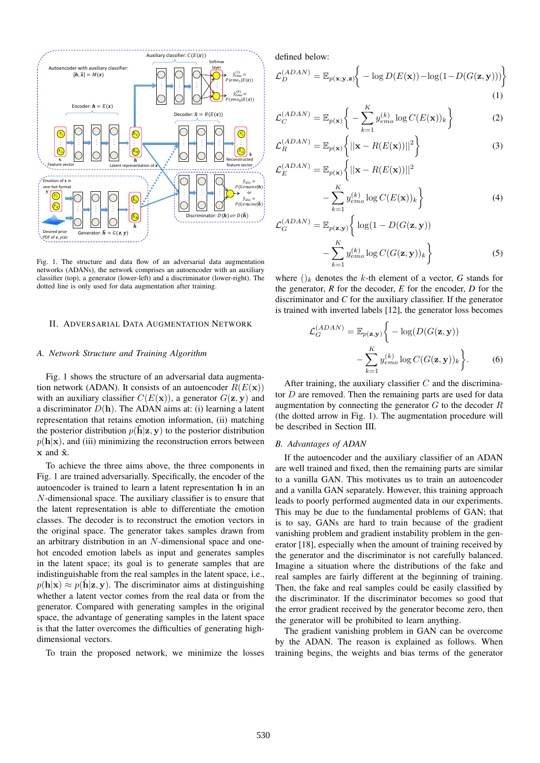

Fig. 1. The structure and data flow of an adversarial data augmentation networks (ADANs), the network comprises an autoencoder with an auxiliary classifier (top), a generator (lower-left) and a discriminator (lower-right). The dotted line is only used for data augmentation after training.

# II. ADVERSARIAL DATA AUGMENTATION NETWORK

# *A. Network Structure and Training Algorithm*

Fig. 1 shows the structure of an adversarial data augmentation network (ADAN). It consists of an autoencoder  $R(E(\mathbf{x}))$ with an auxiliary classifier  $C(E(\mathbf{x}))$ , a generator  $G(\mathbf{z}, \mathbf{y})$  and a discriminator  $D(h)$ . The ADAN aims at: (i) learning a latent representation that retains emotion information, (ii) matching the posterior distribution  $p(\hat{\mathbf{h}}|\mathbf{z}, \mathbf{y})$  to the posterior distribution  $p(\mathbf{h}|\mathbf{x})$ , and (iii) minimizing the reconstruction errors between  $x$  and  $\hat{x}$ .

To achieve the three aims above, the three components in Fig. 1 are trained adversarially. Specifically, the encoder of the autoencoder is trained to learn a latent representation h in an N-dimensional space. The auxiliary classifier is to ensure that the latent representation is able to differentiate the emotion classes. The decoder is to reconstruct the emotion vectors in the original space. The generator takes samples drawn from an arbitrary distribution in an N-dimensional space and onehot encoded emotion labels as input and generates samples in the latent space; its goal is to generate samples that are indistinguishable from the real samples in the latent space, i.e.,  $p(\mathbf{h}|\mathbf{x}) \approx p(\mathbf{h}|\mathbf{z}, \mathbf{y})$ . The discriminator aims at distinguishing whether a latent vector comes from the real data or from the generator. Compared with generating samples in the original space, the advantage of generating samples in the latent space is that the latter overcomes the difficulties of generating highdimensional vectors.

To train the proposed network, we minimize the losses

defined below:

 $\sqrt{2}$ 

$$
\mathcal{L}_{D}^{(ADAN)} = \mathbb{E}_{p(\mathbf{x}, \mathbf{y}, \mathbf{z})} \bigg\{ -\log D(E(\mathbf{x})) - \log(1 - D(G(\mathbf{z}, \mathbf{y}))) \bigg\}
$$
(1)

$$
\mathcal{L}_C^{(ADAN)} = \mathbb{E}_{p(\mathbf{x})} \bigg\{ -\sum_{k=1}^K y_{emo}^{(k)} \log C(E(\mathbf{x}))_k \bigg\} \tag{2}
$$

$$
\mathcal{L}_R^{(ADAN)} = \mathbb{E}_{p(\mathbf{x})} \left\{ ||\mathbf{x} - R(E(\mathbf{x}))||^2 \right\}
$$
 (3)

$$
S_E^{(ADAN)} = \mathbb{E}_{p(\mathbf{x})} \left\{ ||\mathbf{x} - R(E(\mathbf{x}))||^2 - \sum_{k=1}^K y_{emo}^{(k)} \log C(E(\mathbf{x}))_k \right\}
$$
(4)

$$
\mathcal{L}_G^{(ADAN)} = \mathbb{E}_{p(\mathbf{z}, \mathbf{y})} \left\{ \log(1 - D(G(\mathbf{z}, \mathbf{y})) - \sum_{k=1}^K y_{\epsilon m o}^{(k)} \log C(G(\mathbf{z}, \mathbf{y}))_k \right\}
$$
(5)

where  $\left(\right)_k$  denotes the k-th element of a vector, G stands for the generator, *R* for the decoder, *E* for the encoder, *D* for the discriminator and *C* for the auxiliary classifier. If the generator is trained with inverted labels [12], the generator loss becomes

$$
\mathcal{L}_G^{(ADAN)} = \mathbb{E}_{p(\mathbf{z}, \mathbf{y})} \bigg\{ -\log(D(G(\mathbf{z}, \mathbf{y}))) -\sum_{k=1}^K y_{emo}^{(k)} \log C(G(\mathbf{z}, \mathbf{y}))_k \bigg\}.
$$
 (6)

After training, the auxiliary classifier  $C$  and the discriminator  $D$  are removed. Then the remaining parts are used for data augmentation by connecting the generator  $G$  to the decoder  $R$ (the dotted arrow in Fig. 1). The augmentation procedure will be described in Section III.

## *B. Advantages of ADAN*

If the autoencoder and the auxiliary classifier of an ADAN are well trained and fixed, then the remaining parts are similar to a vanilla GAN. This motivates us to train an autoencoder and a vanilla GAN separately. However, this training approach leads to poorly performed augmented data in our experiments. This may be due to the fundamental problems of GAN; that is to say, GANs are hard to train because of the gradient vanishing problem and gradient instability problem in the generator [18], especially when the amount of training received by the generator and the discriminator is not carefully balanced. Imagine a situation where the distributions of the fake and real samples are fairly different at the beginning of training. Then, the fake and real samples could be easily classified by the discriminator. If the discriminator becomes so good that the error gradient received by the generator become zero, then the generator will be prohibited to learn anything.

The gradient vanishing problem in GAN can be overcome by the ADAN. The reason is explained as follows. When training begins, the weights and bias terms of the generator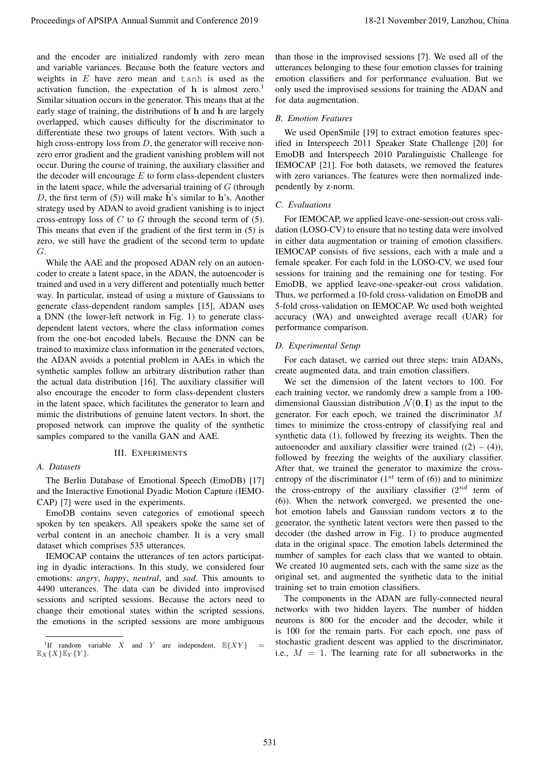and the encoder are initialized randomly with zero mean and variable variances. Because both the feature vectors and weights in  $E$  have zero mean and tanh is used as the activation function, the expectation of  $h$  is almost zero.<sup>1</sup> Similar situation occurs in the generator. This means that at the early stage of training, the distributions of h and h are largely overlapped, which causes difficulty for the discriminator to differentiate these two groups of latent vectors. With such a high cross-entropy loss from  $D$ , the generator will receive nonzero error gradient and the gradient vanishing problem will not occur. During the course of training, the auxiliary classifier and the decoder will encourage  $E$  to form class-dependent clusters in the latent space, while the adversarial training of  $G$  (through D, the first term of  $(5)$ ) will make h's similar to h's. Another strategy used by ADAN to avoid gradient vanishing is to inject cross-entropy loss of  $C$  to  $G$  through the second term of (5). This means that even if the gradient of the first term in (5) is zero, we still have the gradient of the second term to update G.

While the AAE and the proposed ADAN rely on an autoencoder to create a latent space, in the ADAN, the autoencoder is trained and used in a very different and potentially much better way. In particular, instead of using a mixture of Gaussians to generate class-dependent random samples [15], ADAN uses a DNN (the lower-left network in Fig. 1) to generate classdependent latent vectors, where the class information comes from the one-hot encoded labels. Because the DNN can be trained to maximize class information in the generated vectors, the ADAN avoids a potential problem in AAEs in which the synthetic samples follow an arbitrary distribution rather than the actual data distribution [16]. The auxiliary classifier will also encourage the encoder to form class-dependent clusters in the latent space, which facilitates the generator to learn and mimic the distributions of genuine latent vectors. In short, the proposed network can improve the quality of the synthetic samples compared to the vanilla GAN and AAE.

# III. EXPERIMENTS

## *A. Datasets*

The Berlin Database of Emotional Speech (EmoDB) [17] and the Interactive Emotional Dyadic Motion Capture (IEMO-CAP) [7] were used in the experiments.

EmoDB contains seven categories of emotional speech spoken by ten speakers. All speakers spoke the same set of verbal content in an anechoic chamber. It is a very small dataset which comprises 535 utterances.

IEMOCAP contains the utterances of ten actors participating in dyadic interactions. In this study, we considered four emotions: *angry*, *happy*, *neutral*, and *sad*. This amounts to 4490 utterances. The data can be divided into improvised sessions and scripted sessions. Because the actors need to change their emotional states within the scripted sessions, the emotions in the scripted sessions are more ambiguous

than those in the improvised sessions [7]. We used all of the utterances belonging to these four emotion classes for training emotion classifiers and for performance evaluation. But we only used the improvised sessions for training the ADAN and for data augmentation.

#### *B. Emotion Features*

We used OpenSmile [19] to extract emotion features specified in Interspeech 2011 Speaker State Challenge [20] for EmoDB and Interspeech 2010 Paralinguistic Challenge for IEMOCAP [21]. For both datasets, we removed the features with zero variances. The features were then normalized independently by z-norm.

#### *C. Evaluations*

For IEMOCAP, we applied leave-one-session-out cross validation (LOSO-CV) to ensure that no testing data were involved in either data augmentation or training of emotion classifiers. IEMOCAP consists of five sessions, each with a male and a female speaker. For each fold in the LOSO-CV, we used four sessions for training and the remaining one for testing. For EmoDB, we applied leave-one-speaker-out cross validation. Thus, we performed a 10-fold cross-validation on EmoDB and 5-fold cross-validation on IEMOCAP. We used both weighted accuracy (WA) and unweighted average recall (UAR) for performance comparison.

# *D. Experimental Setup*

For each dataset, we carried out three steps: train ADANs, create augmented data, and train emotion classifiers.

We set the dimension of the latent vectors to 100. For each training vector, we randomly drew a sample from a 100 dimensional Gaussian distribution  $\mathcal{N}(\mathbf{0}, \mathbf{I})$  as the input to the generator. For each epoch, we trained the discriminator M times to minimize the cross-entropy of classifying real and synthetic data (1), followed by freezing its weights. Then the autoencoder and auxiliary classifier were trained  $((2) - (4))$ , followed by freezing the weights of the auxiliary classifier. After that, we trained the generator to maximize the crossentropy of the discriminator  $(1^{st}$  term of  $(6)$ ) and to minimize the cross-entropy of the auxiliary classifier  $(2^{nd}$  term of (6)). When the network converged, we presented the onehot emotion labels and Gaussian random vectors z to the generator, the synthetic latent vectors were then passed to the decoder (the dashed arrow in Fig. 1) to produce augmented data in the original space. The emotion labels determined the number of samples for each class that we wanted to obtain. We created 10 augmented sets, each with the same size as the original set, and augmented the synthetic data to the initial training set to train emotion classifiers. Proceedings of APSIPA Annual Summit at Conference 2019<br>
and United Summit and Conference 2019 18-21 November 2019 18-21 November 2019 18-21 November 2019 18-21 November 2019 18-21 November 2019 18-21 November 2019 18-21 N

The components in the ADAN are fully-connected neural networks with two hidden layers. The number of hidden neurons is 800 for the encoder and the decoder, while it is 100 for the remain parts. For each epoch, one pass of stochastic gradient descent was applied to the discriminator, i.e.,  $M = 1$ . The learning rate for all subnetworks in the

<sup>&</sup>lt;sup>1</sup>If random variable X and Y are independent,  $\mathbb{E}\{XY\}$  =  $\mathbb{E}_X \{X\} \mathbb{E}_Y \{Y\}.$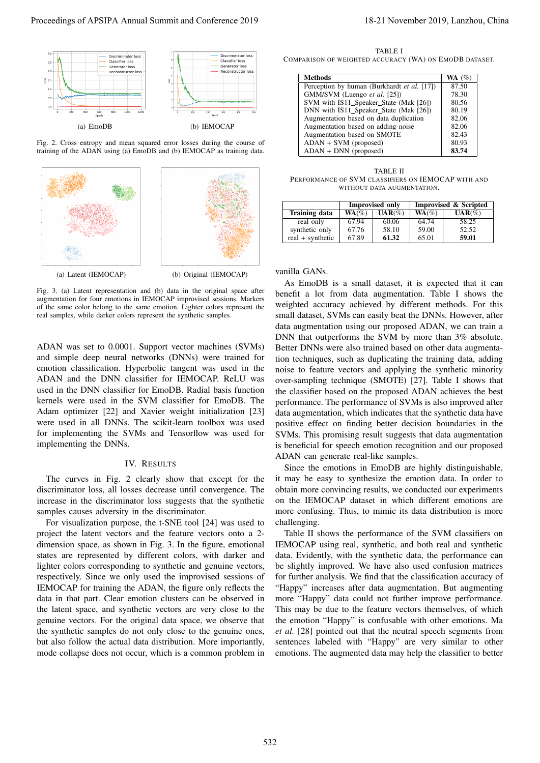

Fig. 2. Cross entropy and mean squared error losses during the course of training of the ADAN using (a) EmoDB and (b) IEMOCAP as training data.



Fig. 3. (a) Latent representation and (b) data in the original space after augmentation for four emotions in IEMOCAP improvised sessions. Markers of the same color belong to the same emotion. Lighter colors represent the real samples, while darker colors represent the synthetic samples.

ADAN was set to 0.0001. Support vector machines (SVMs) and simple deep neural networks (DNNs) were trained for emotion classification. Hyperbolic tangent was used in the ADAN and the DNN classifier for IEMOCAP. ReLU was used in the DNN classifier for EmoDB. Radial basis function kernels were used in the SVM classifier for EmoDB. The Adam optimizer [22] and Xavier weight initialization [23] were used in all DNNs. The scikit-learn toolbox was used for implementing the SVMs and Tensorflow was used for implementing the DNNs.

# IV. RESULTS

The curves in Fig. 2 clearly show that except for the discriminator loss, all losses decrease until convergence. The increase in the discriminator loss suggests that the synthetic samples causes adversity in the discriminator.

For visualization purpose, the t-SNE tool [24] was used to project the latent vectors and the feature vectors onto a 2 dimension space, as shown in Fig. 3. In the figure, emotional states are represented by different colors, with darker and lighter colors corresponding to synthetic and genuine vectors, respectively. Since we only used the improvised sessions of IEMOCAP for training the ADAN, the figure only reflects the data in that part. Clear emotion clusters can be observed in the latent space, and synthetic vectors are very close to the genuine vectors. For the original data space, we observe that the synthetic samples do not only close to the genuine ones, but also follow the actual data distribution. More importantly, mode collapse does not occur, which is a common problem in

TABLE I COMPARISON OF WEIGHTED ACCURACY (WA) ON EMODB DATASET.

| Methods                                     | WA $(%)$ |
|---------------------------------------------|----------|
| Perception by human (Burkhardt et al. [17]) | 87.50    |
| GMM/SVM (Luengo et al. [25])                | 78.30    |
| SVM with IS11 Speaker State (Mak [26])      | 80.56    |
| DNN with IS11 Speaker State (Mak [26])      | 80.19    |
| Augmentation based on data duplication      | 82.06    |
| Augmentation based on adding noise          | 82.06    |
| Augmentation based on SMOTE                 | 82.43    |
| ADAN + SVM (proposed)                       | 80.93    |
| $ADAN + DNN$ (proposed)                     | 83.74    |

TABLE II PERFORMANCE OF SVM CLASSIFIERS ON IEMOCAP WITH AND WITHOUT DATA AUGMENTATION.

|                  | <b>Improvised only</b> |           | <b>Improvised &amp; Scripted</b> |           |
|------------------|------------------------|-----------|----------------------------------|-----------|
| Training data    | $WA$ (%)               | $UAR(\%)$ | $WA$ (%)                         | $UAR(\%)$ |
| real only        | 67.94                  | 60.06     | 64.74                            | 58.25     |
| synthetic only   | 67.76                  | 58.10     | 59.00                            | 52.52     |
| real + synthetic | 67.89                  | 61.32     | 65.01                            | 59.01     |

## vanilla GANs.

As EmoDB is a small dataset, it is expected that it can benefit a lot from data augmentation. Table I shows the weighted accuracy achieved by different methods. For this small dataset, SVMs can easily beat the DNNs. However, after data augmentation using our proposed ADAN, we can train a DNN that outperforms the SVM by more than 3% absolute. Better DNNs were also trained based on other data augmentation techniques, such as duplicating the training data, adding noise to feature vectors and applying the synthetic minority over-sampling technique (SMOTE) [27]. Table I shows that the classifier based on the proposed ADAN achieves the best performance. The performance of SVMs is also improved after data augmentation, which indicates that the synthetic data have positive effect on finding better decision boundaries in the SVMs. This promising result suggests that data augmentation is beneficial for speech emotion recognition and our proposed ADAN can generate real-like samples. Proceeding of APSIPA Annual Summit and Conference 2019<br>
Proceedings of APSIPA Annual Summit and Conference 2019<br>
Proceedings of APSIPA Annual Summit and Conference 2019<br>
Proceedings of APSIPA Annual Summit and Conference

Since the emotions in EmoDB are highly distinguishable, it may be easy to synthesize the emotion data. In order to obtain more convincing results, we conducted our experiments on the IEMOCAP dataset in which different emotions are more confusing. Thus, to mimic its data distribution is more challenging.

Table II shows the performance of the SVM classifiers on IEMOCAP using real, synthetic, and both real and synthetic data. Evidently, with the synthetic data, the performance can be slightly improved. We have also used confusion matrices for further analysis. We find that the classification accuracy of "Happy" increases after data augmentation. But augmenting more "Happy" data could not further improve performance. This may be due to the feature vectors themselves, of which the emotion "Happy" is confusable with other emotions. Ma *et al.* [28] pointed out that the neutral speech segments from sentences labeled with "Happy" are very similar to other emotions. The augmented data may help the classifier to better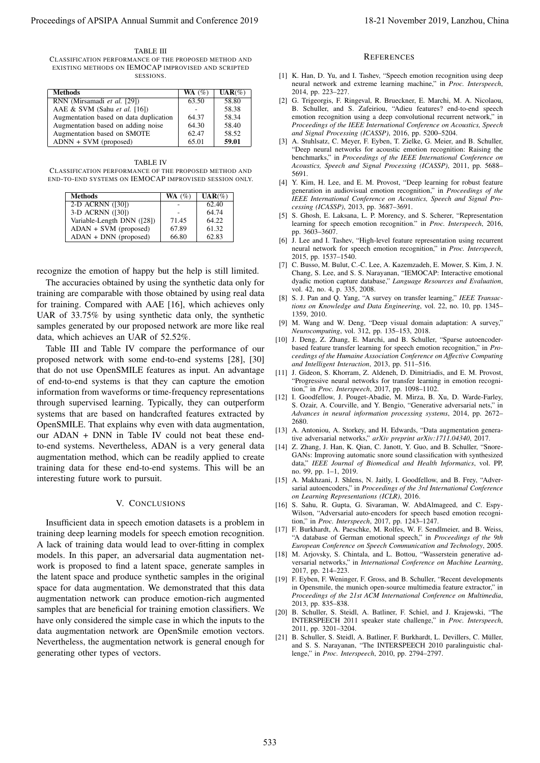TABLE III CLASSIFICATION PERFORMANCE OF THE PROPOSED METHOD AND EXISTING METHODS ON IEMOCAP IMPROVISED AND SCRIPTED SESSIONS.

| <b>Methods</b>                         | WA $(%)$ | $UAR(\%)$ |
|----------------------------------------|----------|-----------|
| RNN (Mirsamadi et al. [29])            | 63.50    | 58.80     |
| AAE & SVM (Sahu et al. [16])           |          | 58.38     |
| Augmentation based on data duplication | 64.37    | 58.34     |
| Augmentation based on adding noise     | 64.30    | 58.40     |
| Augmentation based on SMOTE            | 62.47    | 58.52     |
| ADNN + SVM (proposed)                  | 65.01    | 59.01     |

TABLE IV CLASSIFICATION PERFORMANCE OF THE PROPOSED METHOD AND END-TO-END SYSTEMS ON IEMOCAP IMPROVISED SESSION ONLY.

| <b>Methods</b>             | $WA (\%)$ | $UAR(\%)$ |
|----------------------------|-----------|-----------|
| 2-D ACRNN ([30])           |           | 62.40     |
| 3-D ACRNN ([30])           |           | 64.74     |
| Variable-Length DNN ([28]) | 71.45     | 64.22     |
| ADAN + SVM (proposed)      | 67.89     | 61.32     |
| ADAN + DNN (proposed)      | 66.80     | 62.83     |

recognize the emotion of happy but the help is still limited.

The accuracies obtained by using the synthetic data only for training are comparable with those obtained by using real data for training. Compared with AAE [16], which achieves only UAR of 33.75% by using synthetic data only, the synthetic samples generated by our proposed network are more like real data, which achieves an UAR of 52.52%.

Table III and Table IV compare the performance of our proposed network with some end-to-end systems [28], [30] that do not use OpenSMILE features as input. An advantage of end-to-end systems is that they can capture the emotion information from waveforms or time-frequency representations through supervised learning. Typically, they can outperform systems that are based on handcrafted features extracted by OpenSMILE. That explains why even with data augmentation, our ADAN + DNN in Table IV could not beat these endto-end systems. Nevertheless, ADAN is a very general data augmentation method, which can be readily applied to create training data for these end-to-end systems. This will be an interesting future work to pursuit. Proceedings of APSIPA Annual Summit and Conference 2019 11:21 November 2019 12:22 November 2019 12:22 November 2019 12:23 November 2019 12:23 November 2019 12:23 November 2019 12:23 November 2019 12:23 November 2019 12:23

# V. CONCLUSIONS

Insufficient data in speech emotion datasets is a problem in training deep learning models for speech emotion recognition. A lack of training data would lead to over-fitting in complex models. In this paper, an adversarial data augmentation network is proposed to find a latent space, generate samples in the latent space and produce synthetic samples in the original space for data augmentation. We demonstrated that this data augmentation network can produce emotion-rich augmented samples that are beneficial for training emotion classifiers. We have only considered the simple case in which the inputs to the data augmentation network are OpenSmile emotion vectors. Nevertheless, the augmentation network is general enough for generating other types of vectors.

#### **REFERENCES**

- [1] K. Han, D. Yu, and I. Tashev, "Speech emotion recognition using deep neural network and extreme learning machine," in *Proc. Interspeech*, 2014, pp. 223–227.
- [2] G. Trigeorgis, F. Ringeval, R. Brueckner, E. Marchi, M. A. Nicolaou, B. Schuller, and S. Zafeiriou, "Adieu features? end-to-end speech emotion recognition using a deep convolutional recurrent network," in *Proceedings of the IEEE International Conference on Acoustics, Speech and Signal Processing (ICASSP)*, 2016, pp. 5200–5204.
- [3] A. Stuhlsatz, C. Meyer, F. Eyben, T. Zielke, G. Meier, and B. Schuller, "Deep neural networks for acoustic emotion recognition: Raising the benchmarks," in *Proceedings of the IEEE International Conference on Acoustics, Speech and Signal Processing (ICASSP)*, 2011, pp. 5688– 5691.
- [4] Y. Kim, H. Lee, and E. M. Provost, "Deep learning for robust feature generation in audiovisual emotion recognition," in *Proceedings of the IEEE International Conference on Acoustics, Speech and Signal Processing (ICASSP)*, 2013, pp. 3687–3691.
- [5] S. Ghosh, E. Laksana, L. P. Morency, and S. Scherer, "Representation learning for speech emotion recognition." in *Proc. Interspeech*, 2016, pp. 3603–3607.
- [6] J. Lee and I. Tashev, "High-level feature representation using recurrent neural network for speech emotion recognition," in *Proc. Interspeech*, 2015, pp. 1537–1540.
- [7] C. Busso, M. Bulut, C.-C. Lee, A. Kazemzadeh, E. Mower, S. Kim, J. N. Chang, S. Lee, and S. S. Narayanan, "IEMOCAP: Interactive emotional dyadic motion capture database," *Language Resources and Evaluation*, vol. 42, no. 4, p. 335, 2008.
- [8] S. J. Pan and Q. Yang, "A survey on transfer learning," *IEEE Transactions on Knowledge and Data Engineering*, vol. 22, no. 10, pp. 1345– 1359, 2010.
- [9] M. Wang and W. Deng, "Deep visual domain adaptation: A survey," *Neurocomputing*, vol. 312, pp. 135–153, 2018.
- [10] J. Deng, Z. Zhang, E. Marchi, and B. Schuller, "Sparse autoencoderbased feature transfer learning for speech emotion recognition," in *Proceedings of the Humaine Association Conference on Affective Computing and Intelligent Interaction*, 2013, pp. 511–516.
- [11] J. Gideon, S. Khorram, Z. Aldeneh, D. Dimitriadis, and E. M. Provost, "Progressive neural networks for transfer learning in emotion recognition," in *Proc. Interspeech*, 2017, pp. 1098–1102.
- [12] I. Goodfellow, J. Pouget-Abadie, M. Mirza, B. Xu, D. Warde-Farley, S. Ozair, A. Courville, and Y. Bengio, "Generative adversarial nets," in *Advances in neural information processing systems*, 2014, pp. 2672– 2680.
- [13] A. Antoniou, A. Storkey, and H. Edwards, "Data augmentation generative adversarial networks," *arXiv preprint arXiv:1711.04340*, 2017.
- [14] Z. Zhang, J. Han, K. Qian, C. Janott, Y. Guo, and B. Schuller, "Snore-GANs: Improving automatic snore sound classification with synthesized data," *IEEE Journal of Biomedical and Health Informatics*, vol. PP, no. 99, pp. 1–1, 2019.
- [15] A. Makhzani, J. Shlens, N. Jaitly, I. Goodfellow, and B. Frey, "Adversarial autoencoders," in *Proceedings of the 3rd International Conference on Learning Representations (ICLR)*, 2016.
- [16] S. Sahu, R. Gupta, G. Sivaraman, W. AbdAlmageed, and C. Espy-Wilson, "Adversarial auto-encoders for speech based emotion recognition," in *Proc. Interspeech*, 2017, pp. 1243–1247.
- [17] F. Burkhardt, A. Paeschke, M. Rolfes, W. F. Sendlmeier, and B. Weiss, "A database of German emotional speech," in *Proceedings of the 9th European Conference on Speech Communication and Technology*, 2005.
- [18] M. Arjovsky, S. Chintala, and L. Bottou, "Wasserstein generative adversarial networks," in *International Conference on Machine Learning*, 2017, pp. 214–223.
- [19] F. Eyben, F. Weninger, F. Gross, and B. Schuller, "Recent developments in Opensmile, the munich open-source multimedia feature extractor," in *Proceedings of the 21st ACM International Conference on Multimedia*, 2013, pp. 835–838.
- [20] B. Schuller, S. Steidl, A. Batliner, F. Schiel, and J. Krajewski, "The INTERSPEECH 2011 speaker state challenge," in *Proc. Interspeech*, 2011, pp. 3201–3204.
- [21] B. Schuller, S. Steidl, A. Batliner, F. Burkhardt, L. Devillers, C. Müller, and S. S. Narayanan, "The INTERSPEECH 2010 paralinguistic challenge," in *Proc. Interspeech*, 2010, pp. 2794–2797.